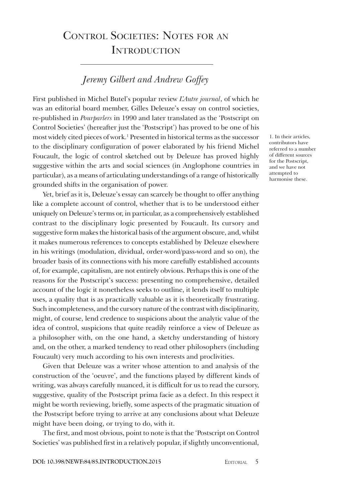# Control Societies: Notes for an **INTRODUCTION**

# *Jeremy Gilbert and Andrew Goffey*

First published in Michel Butel's popular review *L'Autre journal*, of which he was an editorial board member, Gilles Deleuze's essay on control societies, re-published in *Pourparlers* in 1990 and later translated as the 'Postscript on Control Societies' (hereafter just the 'Postscript') has proved to be one of his most widely cited pieces of work.<sup>1</sup> Presented in historical terms as the successor to the disciplinary configuration of power elaborated by his friend Michel Foucault, the logic of control sketched out by Deleuze has proved highly suggestive within the arts and social sciences (in Anglophone countries in particular), as a means of articulating understandings of a range of historically grounded shifts in the organisation of power.

Yet, brief as it is, Deleuze's essay can scarcely be thought to offer anything like a complete account of control, whether that is to be understood either uniquely on Deleuze's terms or, in particular, as a comprehensively established contrast to the disciplinary logic presented by Foucault. Its cursory and suggestive form makes the historical basis of the argument obscure, and, whilst it makes numerous references to concepts established by Deleuze elsewhere in his writings (modulation, dividual, order-word/pass-word and so on), the broader basis of its connections with his more carefully established accounts of, for example, capitalism, are not entirely obvious. Perhaps this is one of the reasons for the Postscript's success: presenting no comprehensive, detailed account of the logic it nonetheless seeks to outline, it lends itself to multiple uses, a quality that is as practically valuable as it is theoretically frustrating. Such incompleteness, and the cursory nature of the contrast with disciplinarity, might, of course, lend credence to suspicions about the analytic value of the idea of control, suspicions that quite readily reinforce a view of Deleuze as a philosopher with, on the one hand, a sketchy understanding of history and, on the other, a marked tendency to read other philosophers (including Foucault) very much according to his own interests and proclivities.

Given that Deleuze was a writer whose attention to and analysis of the construction of the 'oeuvre', and the functions played by different kinds of writing, was always carefully nuanced, it is difficult for us to read the cursory, suggestive, quality of the Postscript prima facie as a defect. In this respect it might be worth reviewing, briefly, some aspects of the pragmatic situation of the Postscript before trying to arrive at any conclusions about what Deleuze might have been doing, or trying to do, with it.

The first, and most obvious, point to note is that the 'Postscript on Control Societies' was published first in a relatively popular, if slightly unconventional,

contributors have referred to a number of different sources for the Postscript, and we have not attempted to harmonise these.

1. In their articles,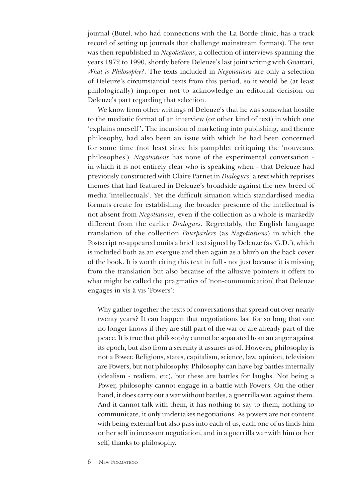journal (Butel, who had connections with the La Borde clinic, has a track record of setting up journals that challenge mainstream formats). The text was then republished in *Negotiations*, a collection of interviews spanning the years 1972 to 1990, shortly before Deleuze's last joint writing with Guattari, *What is Philosophy?*. The texts included in *Negotiations* are only a selection of Deleuze's circumstantial texts from this period, so it would be (at least philologically) improper not to acknowledge an editorial decision on Deleuze's part regarding that selection.

We know from other writings of Deleuze's that he was somewhat hostile to the mediatic format of an interview (or other kind of text) in which one 'explains oneself '. The incursion of marketing into publishing, and thence philosophy, had also been an issue with which he had been concerned for some time (not least since his pamphlet critiquing the 'nouveaux philosophes'). *Negotiations* has none of the experimental conversation in which it is not entirely clear who is speaking when - that Deleuze had previously constructed with Claire Parnet in *Dialogues,* a text which reprises themes that had featured in Deleuze's broadside against the new breed of media 'intellectuals'. Yet the difficult situation which standardised media formats create for establishing the broader presence of the intellectual is not absent from *Negotiations*, even if the collection as a whole is markedly different from the earlier *Dialogues*. Regrettably, the English language translation of the collection *Pourparlers* (as *Negotiations*) in which the Postscript re-appeared omits a brief text signed by Deleuze (as 'G.D.'), which is included both as an exergue and then again as a blurb on the back cover of the book. It is worth citing this text in full - not just because it is missing from the translation but also because of the allusive pointers it offers to what might be called the pragmatics of 'non-communication' that Deleuze engages in vis à vis 'Powers':

Why gather together the texts of conversations that spread out over nearly twenty years? It can happen that negotiations last for so long that one no longer knows if they are still part of the war or are already part of the peace. It is true that philosophy cannot be separated from an anger against its epoch, but also from a serenity it assures us of. However, philosophy is not a Power. Religions, states, capitalism, science, law, opinion, television are Powers, but not philosophy. Philosophy can have big battles internally (idealism - realism, etc), but these are battles for laughs. Not being a Power, philosophy cannot engage in a battle with Powers. On the other hand, it does carry out a war without battles, a guerrilla war, against them. And it cannot talk with them, it has nothing to say to them, nothing to communicate, it only undertakes negotiations. As powers are not content with being external but also pass into each of us, each one of us finds him or her self in incessant negotiation, and in a guerrilla war with him or her self, thanks to philosophy.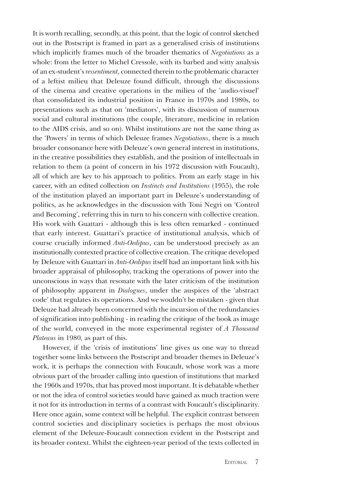It is worth recalling, secondly, at this point, that the logic of control sketched out in the Postscript is framed in part as a generalised crisis of institutions which implicitly frames much of the broader thematics of *Negotiations* as a whole: from the letter to Michel Cressole, with its barbed and witty analysis of an ex-student's *ressentiment*, connected therein to the problematic character of a leftist milieu that Deleuze found difficult, through the discussions of the cinema and creative operations in the milieu of the 'audio-visuel' that consolidated its industrial position in France in 1970s and 1980s, to presentations such as that on 'mediators', with its discussion of numerous social and cultural institutions (the couple, literature, medicine in relation to the AIDS crisis, and so on). Whilst institutions are not the same thing as the 'Powers' in terms of which Deleuze frames *Negotiations*, there is a much broader consonance here with Deleuze's own general interest in institutions, in the creative possibilities they establish, and the position of intellectuals in relation to them (a point of concern in his 1972 discussion with Foucault), all of which are key to his approach to politics. From an early stage in his career, with an edited collection on *Instincts and Institutions* (1955), the role of the institution played an important part in Deleuze's understanding of politics, as he acknowledges in the discussion with Toni Negri on 'Control and Becoming', referring this in turn to his concern with collective creation. His work with Guattari - although this is less often remarked - continued that early interest. Guattari's practice of institutional analysis, which of course crucially informed *Anti-Oedipus*, can be understood precisely as an institutionally contexted practice of collective creation. The critique developed by Deleuze with Guattari in *Anti-Oedipus* itself had an important link with his broader appraisal of philosophy, tracking the operations of power into the unconscious in ways that resonate with the later criticism of the institution of philosophy apparent in *Dialogues*, under the auspices of the 'abstract code' that regulates its operations. And we wouldn't be mistaken - given that Deleuze had already been concerned with the incursion of the redundancies of signification into publishing - in reading the critique of the book as image of the world, conveyed in the more experimental register of *A Thousand Plateaus* in 1980*,* as part of this.

However, if the 'crisis of institutions' line gives us one way to thread together some links between the Postscript and broader themes in Deleuze's work, it is perhaps the connection with Foucault, whose work was a more obvious part of the broader calling into question of institutions that marked the 1960s and 1970s, that has proved most important. It is debatable whether or not the idea of control societies would have gained as much traction were it not for its introduction in terms of a contrast with Foucault's disciplinarity. Here once again, some context will be helpful. The explicit contrast between control societies and disciplinary societies is perhaps the most obvious element of the Deleuze-Foucault connection evident in the Postscript and its broader context. Whilst the eighteen-year period of the texts collected in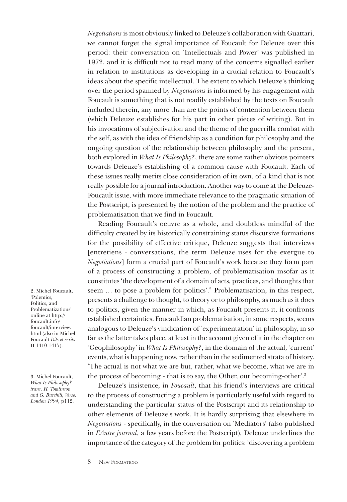*Negotiations* is most obviously linked to Deleuze's collaboration with Guattari, we cannot forget the signal importance of Foucault for Deleuze over this period: their conversation on 'Intellectuals and Power' was published in 1972, and it is difficult not to read many of the concerns signalled earlier in relation to institutions as developing in a crucial relation to Foucault's ideas about the specific intellectual. The extent to which Deleuze's thinking over the period spanned by *Negotiations* is informed by his engagement with Foucault is something that is not readily established by the texts on Foucault included therein, any more than are the points of contention between them (which Deleuze establishes for his part in other pieces of writing). But in his invocations of subjectivation and the theme of the guerrilla combat with the self, as with the idea of friendship as a condition for philosophy and the ongoing question of the relationship between philosophy and the present, both explored in *What Is Philosophy?*, there are some rather obvious pointers towards Deleuze's establishing of a common cause with Foucault. Each of these issues really merits close consideration of its own, of a kind that is not really possible for a journal introduction. Another way to come at the Deleuze-Foucault issue, with more immediate relevance to the pragmatic situation of the Postscript, is presented by the notion of the problem and the practice of problematisation that we find in Foucault.

Reading Foucault's oeuvre as a whole, and doubtless mindful of the difficulty created by its historically constraining status discursive formations for the possibility of effective critique, Deleuze suggests that interviews [entretiens - conversations, the term Deleuze uses for the exergue to *Negotiations*] form a crucial part of Foucault's work because they form part of a process of constructing a problem, of problematisation insofar as it constitutes 'the development of a domain of acts, practices, and thoughts that seem ... to pose a problem for politics'.<sup>2</sup> Problematisation, in this respect, presents a challenge to thought, to theory or to philosophy, as much as it does to politics, given the manner in which, as Foucault presents it, it confronts established certainties. Foucauldian problematisation, in some respects, seems analogous to Deleuze's vindication of 'experimentation' in philosophy, in so far as the latter takes place, at least in the account given of it in the chapter on 'Geophilosophy' in *What Is Philosophy?*, in the domain of the actual, 'current' events, what is happening now, rather than in the sedimented strata of history. 'The actual is not what we are but, rather, what we become, what we are in the process of becoming - that is to say, the Other, our becoming-other'.3

Deleuze's insistence, in *Foucault*, that his friend's interviews are critical to the process of constructing a problem is particularly useful with regard to understanding the particular status of the Postscript and its relationship to other elements of Deleuze's work. It is hardly surprising that elsewhere in *Negotiations* - specifically, in the conversation on 'Mediators' (also published in *L'Autre journal*, a few years before the Postscript), Deleuze underlines the importance of the category of the problem for politics: 'discovering a problem

2. Michel Foucault, 'Polemics, Politics, and Problematizations' online at http:// foucault.info/ foucault/interview. html (also in Michel Foucault *Dits et écrits* II 1410-1417).

3. Michel Foucault, *What Is Philosophy? trans. H. Tomlinson and G. Burchill, Verso, London 1994,* p112.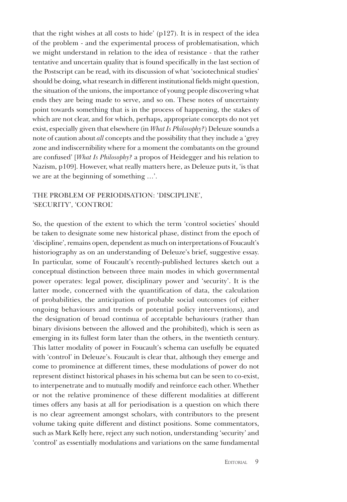that the right wishes at all costs to hide' (p127). It is in respect of the idea of the problem - and the experimental process of problematisation, which we might understand in relation to the idea of resistance - that the rather tentative and uncertain quality that is found specifically in the last section of the Postscript can be read, with its discussion of what 'sociotechnical studies' should be doing, what research in different institutional fields might question, the situation of the unions, the importance of young people discovering what ends they are being made to serve, and so on. These notes of uncertainty point towards something that is in the process of happening, the stakes of which are not clear, and for which, perhaps, appropriate concepts do not yet exist, especially given that elsewhere (in *What Is Philosophy?*) Deleuze sounds a note of caution about *all* concepts and the possibility that they include a 'grey zone and indiscernibility where for a moment the combatants on the ground are confused' [*What Is Philosophy?* a propos of Heidegger and his relation to Nazism, p109]. However, what really matters here, as Deleuze puts it, 'is that we are at the beginning of something …'.

### The Problem of Periodisation: 'Discipline', 'Security', 'Control'

So, the question of the extent to which the term 'control societies' should be taken to designate some new historical phase, distinct from the epoch of 'discipline', remains open, dependent as much on interpretations of Foucault's historiography as on an understanding of Deleuze's brief, suggestive essay. In particular, some of Foucault's recently-published lectures sketch out a conceptual distinction between three main modes in which governmental power operates: legal power, disciplinary power and 'security'. It is the latter mode, concerned with the quantification of data, the calculation of probabilities, the anticipation of probable social outcomes (of either ongoing behaviours and trends or potential policy interventions), and the designation of broad continua of acceptable behaviours (rather than binary divisions between the allowed and the prohibited), which is seen as emerging in its fullest form later than the others, in the twentieth century. This latter modality of power in Foucault's schema can usefully be equated with 'control' in Deleuze's. Foucault is clear that, although they emerge and come to prominence at different times, these modulations of power do not represent distinct historical phases in his schema but can be seen to co-exist, to interpenetrate and to mutually modify and reinforce each other. Whether or not the relative prominence of these different modalities at different times offers any basis at all for periodisation is a question on which there is no clear agreement amongst scholars, with contributors to the present volume taking quite different and distinct positions. Some commentators, such as Mark Kelly here, reject any such notion, understanding 'security' and 'control' as essentially modulations and variations on the same fundamental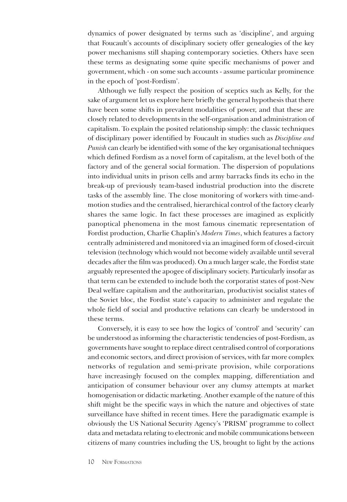dynamics of power designated by terms such as 'discipline', and arguing that Foucault's accounts of disciplinary society offer genealogies of the key power mechanisms still shaping contemporary societies. Others have seen these terms as designating some quite specific mechanisms of power and government, which - on some such accounts - assume particular prominence in the epoch of 'post-Fordism'.

Although we fully respect the position of sceptics such as Kelly, for the sake of argument let us explore here briefly the general hypothesis that there have been some shifts in prevalent modalities of power, and that these are closely related to developments in the self-organisation and administration of capitalism. To explain the posited relationship simply: the classic techniques of disciplinary power identified by Foucault in studies such as *Discipline and Punish* can clearly be identified with some of the key organisational techniques which defined Fordism as a novel form of capitalism, at the level both of the factory and of the general social formation. The dispersion of populations into individual units in prison cells and army barracks finds its echo in the break-up of previously team-based industrial production into the discrete tasks of the assembly line. The close monitoring of workers with time-andmotion studies and the centralised, hierarchical control of the factory clearly shares the same logic. In fact these processes are imagined as explicitly panoptical phenomena in the most famous cinematic representation of Fordist production, Charlie Chaplin's *Modern Times*, which features a factory centrally administered and monitored via an imagined form of closed-circuit television (technology which would not become widely available until several decades after the film was produced). On a much larger scale, the Fordist state arguably represented the apogee of disciplinary society. Particularly insofar as that term can be extended to include both the corporatist states of post-New Deal welfare capitalism and the authoritarian, productivist socialist states of the Soviet bloc, the Fordist state's capacity to administer and regulate the whole field of social and productive relations can clearly be understood in these terms.

Conversely, it is easy to see how the logics of 'control' and 'security' can be understood as informing the characteristic tendencies of post-Fordism, as governments have sought to replace direct centralised control of corporations and economic sectors, and direct provision of services, with far more complex networks of regulation and semi-private provision, while corporations have increasingly focused on the complex mapping, differentiation and anticipation of consumer behaviour over any clumsy attempts at market homogenisation or didactic marketing. Another example of the nature of this shift might be the specific ways in which the nature and objectives of state surveillance have shifted in recent times. Here the paradigmatic example is obviously the US National Security Agency's 'PRISM' programme to collect data and metadata relating to electronic and mobile communications between citizens of many countries including the US, brought to light by the actions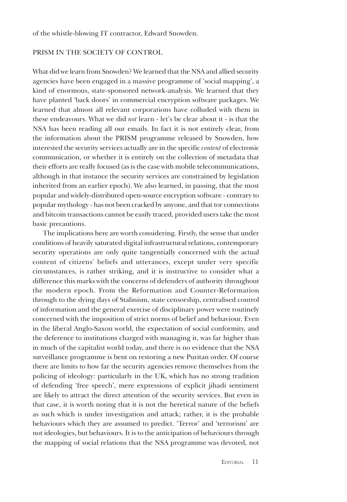#### PRISM IN THE SOCIETY OF CONTROL

What did we learn from Snowden? We learned that the NSA and allied security agencies have been engaged in a massive programme of 'social mapping', a kind of enormous, state-sponsored network-analysis. We learned that they have planted 'back doors' in commercial encryption software packages. We learned that almost all relevant corporations have colluded with them in these endeavours. What we did *not* learn - let's be clear about it - is that the NSA has been reading all our emails. In fact it is not entirely clear, from the information about the PRISM programme released by Snowden, how interested the security services actually are in the specific *content* of electronic communication, or whether it is entirely on the collection of metadata that their efforts are really focused (as is the case with mobile telecommunications, although in that instance the security services are constrained by legislation inherited from an earlier epoch). We also learned, in passing, that the most popular and widely-distributed open-source encryption software - contrary to popular mythology - has not been cracked by anyone, and that tor connections and bitcoin transactions cannot be easily traced, provided users take the most basic precautions.

The implications here are worth considering. Firstly, the sense that under conditions of heavily saturated digital infrastructural relations, contemporary security operations are only quite tangentially concerned with the actual content of citizens' beliefs and utterances, except under very specific circumstances, is rather striking, and it is instructive to consider what a difference this marks with the concerns of defenders of authority throughout the modern epoch. From the Reformation and Counter-Reformation through to the dying days of Stalinism, state censorship, centralised control of information and the general exercise of disciplinary power were routinely concerned with the imposition of strict norms of belief and behaviour. Even in the liberal Anglo-Saxon world, the expectation of social conformity, and the deference to institutions charged with managing it, was far higher than in much of the capitalist world today, and there is no evidence that the NSA surveillance programme is bent on restoring a new Puritan order. Of course there are limits to how far the security agencies remove themselves from the policing of ideology: particularly in the UK, which has no strong tradition of defending 'free speech', mere expressions of explicit jihadi sentiment are likely to attract the direct attention of the security services. But even in that case, it is worth noting that it is not the heretical nature of the beliefs as such which is under investigation and attack; rather, it is the probable behaviours which they are assumed to predict. 'Terror' and 'terrorism' are not ideologies, but behaviours. It is to the anticipation of behaviours through the mapping of social relations that the NSA programme was devoted, not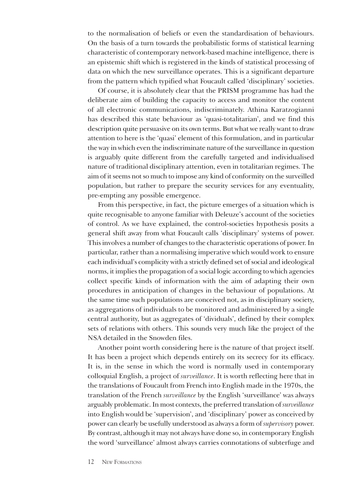to the normalisation of beliefs or even the standardisation of behaviours. On the basis of a turn towards the probabilistic forms of statistical learning characteristic of contemporary network-based machine intelligence, there is an epistemic shift which is registered in the kinds of statistical processing of data on which the new surveillance operates. This is a significant departure from the pattern which typified what Foucault called 'disciplinary' societies.

Of course, it is absolutely clear that the PRISM programme has had the deliberate aim of building the capacity to access and monitor the content of all electronic communications, indiscriminately. Athina Karatzogianni has described this state behaviour as 'quasi-totalitarian', and we find this description quite persuasive on its own terms. But what we really want to draw attention to here is the 'quasi' element of this formulation, and in particular the way in which even the indiscriminate nature of the surveillance in question is arguably quite different from the carefully targeted and individualised nature of traditional disciplinary attention, even in totalitarian regimes. The aim of it seems not so much to impose any kind of conformity on the surveilled population, but rather to prepare the security services for any eventuality, pre-empting any possible emergence.

From this perspective, in fact, the picture emerges of a situation which is quite recognisable to anyone familiar with Deleuze's account of the societies of control. As we have explained, the control-societies hypothesis posits a general shift away from what Foucault calls 'disciplinary' systems of power. This involves a number of changes to the characteristic operations of power. In particular, rather than a normalising imperative which would work to ensure each individual's complicity with a strictly defined set of social and ideological norms, it implies the propagation of a social logic according to which agencies collect specific kinds of information with the aim of adapting their own procedures in anticipation of changes in the behaviour of populations. At the same time such populations are conceived not, as in disciplinary society, as aggregations of individuals to be monitored and administered by a single central authority, but as aggregates of 'dividuals', defined by their complex sets of relations with others. This sounds very much like the project of the NSA detailed in the Snowden files.

Another point worth considering here is the nature of that project itself. It has been a project which depends entirely on its secrecy for its efficacy. It is, in the sense in which the word is normally used in contemporary colloquial English, a project of *surveillance*. It is worth reflecting here that in the translations of Foucault from French into English made in the 1970s, the translation of the French *surveillance* by the English 'surveillance' was always arguably problematic. In most contexts, the preferred translation of *surveillance*  into English would be 'supervision', and 'disciplinary' power as conceived by power can clearly be usefully understood as always a form of *supervisory* power. By contrast, although it may not always have done so, in contemporary English the word 'surveillance' almost always carries connotations of subterfuge and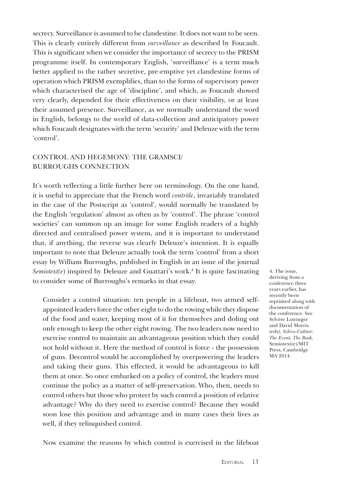secrecy. Surveillance is assumed to be clandestine. It does not want to be seen. This is clearly entirely different from *surveillance* as described by Foucault. This is significant when we consider the importance of secrecy to the PRISM programme itself. In contemporary English, 'surveillance' is a term much better applied to the rather secretive, pre-emptive yet clandestine forms of operation which PRISM exemplifies, than to the forms of supervisory power which characterised the age of 'discipline', and which, as Foucault showed very clearly, depended for their effectiveness on their visibility, or at least their assumed presence. Surveillance, as we normally understand the word in English, belongs to the world of data-collection and anticipatory power which Foucault designates with the term 'security' and Deleuze with the term 'control'.

## Control and Hegemony: the Gramsci/ Burroughs connection

It's worth reflecting a little further here on terminology. On the one hand, it is useful to appreciate that the French word *contrôle*, invariably translated in the case of the Postscript as 'control', would normally be translated by the English 'regulation' almost as often as by 'control'. The phrase 'control societies' can summon up an image for some English readers of a highly directed and centralised power system, and it is important to understand that, if anything, the reverse was clearly Deleuze's intention. It is equally important to note that Deleuze actually took the term 'control' from a short essay by William Burroughs, published in English in an issue of the journal Semiotext(e) inspired by Deleuze and Guattari's work.<sup>4</sup> It is quite fascinating to consider some of Burroughs's remarks in that essay.

Consider a control situation: ten people in a lifeboat, two armed selfappointed leaders force the other eight to do the rowing while they dispose of the food and water, keeping most of it for themselves and doling out only enough to keep the other eight rowing. The two leaders now need to exercise control to maintain an advantageous position which they could not hold without it. Here the method of control is force - the possession of guns. Decontrol would be accomplished by overpowering the leaders and taking their guns. This effected, it would be advantageous to kill them at once. So once embarked on a policy of control, the leaders must continue the policy as a matter of self-preservation. Who, then, needs to control others but those who protect by such control a position of relative advantage? Why do they need to exercise control? Because they would soon lose this position and advantage and in many cases their lives as well, if they relinquished control.

Now examine the reasons by which control is exercised in the lifeboat

4. The issue, deriving from a conference three years earlier, has recently been reprinted along with documentation of the conference. See Sylvère Lotringer and David Morris (eds), *Schizo-Culture: The Event, The Book,*  Semiotext(e)/MIT Press, Cambridge MA 2014.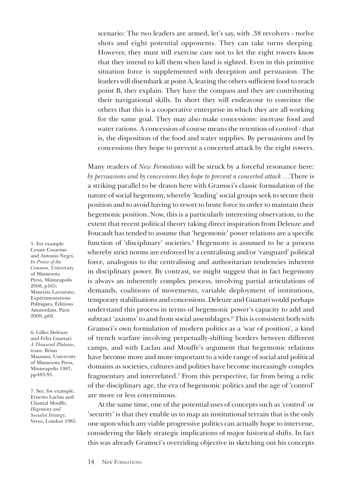scenario: The two leaders are armed, let's say, with .38 revolvers - twelve shots and eight potential opponents. They can take turns sleeping. However, they must still exercise care not to let the eight rowers know that they intend to kill them when land is sighted. Even in this primitive situation force is supplemented with deception and persuasion. The leaders will disembark at point A, leaving the others sufficient food to reach point B, they explain. They have the compass and they are contributing their navigational skills. In short they will endeavour to convince the others that this is a cooperative enterprise in which they are all working for the same goal. They may also make concessions: increase food and water rations. A concession of course means the retention of control - that is, the disposition of the food and water supplies. By persuasions and by concessions they hope to prevent a concerted attack by the eight rowers.

Many readers of *New Formations* will be struck by a forceful resonance here: *by persuasions and by concessions they hope to prevent a concerted attack* …There is a striking parallel to be drawn here with Gramsci's classic formulation of the nature of social hegemony, whereby 'leading' social groups seek to secure their position and to avoid having to resort to brute force in order to maintain their hegemonic position. Now, this is a particularly interesting observation, to the extent that recent political theory taking direct inspiration from Deleuze and Foucault has tended to assume that 'hegemonic' power relations are a specific function of 'disciplinary' societies.<sup>5</sup> Hegemony is assumed to be a process whereby strict norms are enforced by a centralising and/or 'vanguard' political force, analogous to the centralising and authoritarian tendencies inherent in disciplinary power. By contrast, we might suggest that in fact hegemony is always an inherently complex process, involving partial articulations of demands, coalitions of movements, variable deployment of institutions, temporary stabilisations and concessions. Deleuze and Guattari would perhaps understand this process in terms of hegemonic power's capacity to add and subtract 'axioms' to and from social assemblages.<sup>6</sup> This is consistent both with Gramsci's own formulation of modern politics as a 'war of position', a kind of trench warfare involving perpetually-shifting borders between different camps, and with Laclau and Mouffe's argument that hegemonic relations have become more and more important to a wide range of social and political domains as societies, cultures and polities have become increasingly complex fragmentary and interrelated.<sup>7</sup> From this perspective, far from being a relic of the disciplinary age, the era of hegemonic politics and the age of 'control' are more or less coterminous.

At the same time, one of the potential uses of concepts such as 'control' or 'security' is that they enable us to map an institutional terrain that is the only one upon which any viable progressive politics can actually hope to intervene, considering the likely strategic implications of major historical shifts. In fact this was already Gramsci's overriding objective in sketching out his concepts

5. For example Cesare Casarino and Antonio Negri, *In Praise of the Common*, University of Minnesota Press, Minneapolis 2008, p165; Maurizio Lazzarato, Expérimentations Politiques, Éditions Amsterdam, Paris 2009, p69.

6. Gilles Deleuze and Félix Guattari *A Thousand Plateaus*, trans. Brian Massumi, University of Minnesota Press, Minneapolis 1987, pp483-95.

7. See, for example, Ernesto Laclau and Chantal Mouffe, *Hegemony and Socialist Strategy*, Verso, London 1985.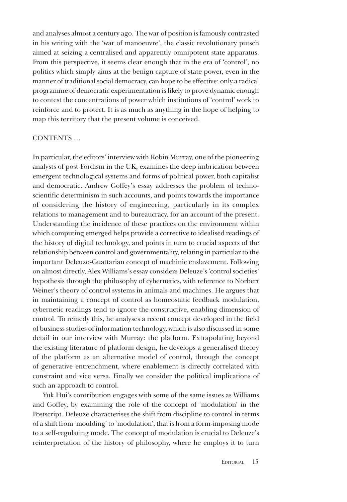and analyses almost a century ago. The war of position is famously contrasted in his writing with the 'war of manoeuvre', the classic revolutionary putsch aimed at seizing a centralised and apparently omnipotent state apparatus. From this perspective, it seems clear enough that in the era of 'control', no politics which simply aims at the benign capture of state power, even in the manner of traditional social democracy, can hope to be effective; only a radical programme of democratic experimentation is likely to prove dynamic enough to contest the concentrations of power which institutions of 'control' work to reinforce and to protect. It is as much as anything in the hope of helping to map this territory that the present volume is conceived.

#### CONTENTS ...

In particular, the editors' interview with Robin Murray, one of the pioneering analysts of post-Fordism in the UK, examines the deep imbrication between emergent technological systems and forms of political power, both capitalist and democratic. Andrew Goffey's essay addresses the problem of technoscientific determinism in such accounts, and points towards the importance of considering the history of engineering, particularly in its complex relations to management and to bureaucracy, for an account of the present. Understanding the incidence of these practices on the environment within which computing emerged helps provide a corrective to idealised readings of the history of digital technology, and points in turn to crucial aspects of the relationship between control and governmentality, relating in particular to the important Deleuzo-Guattarian concept of machinic enslavement. Following on almost directly, Alex Williams's essay considers Deleuze's 'control societies' hypothesis through the philosophy of cybernetics, with reference to Norbert Weiner's theory of control systems in animals and machines. He argues that in maintaining a concept of control as homeostatic feedback modulation, cybernetic readings tend to ignore the constructive, enabling dimension of control. To remedy this, he analyses a recent concept developed in the field of business studies of information technology, which is also discussed in some detail in our interview with Murray: the platform. Extrapolating beyond the existing literature of platform design, he develops a generalised theory of the platform as an alternative model of control, through the concept of generative entrenchment, where enablement is directly correlated with constraint and vice versa. Finally we consider the political implications of such an approach to control.

Yuk Hui's contribution engages with some of the same issues as Williams and Goffey, by examining the role of the concept of 'modulation' in the Postscript. Deleuze characterises the shift from discipline to control in terms of a shift from 'moulding' to 'modulation', that is from a form-imposing mode to a self-regulating mode. The concept of modulation is crucial to Deleuze's reinterpretation of the history of philosophy, where he employs it to turn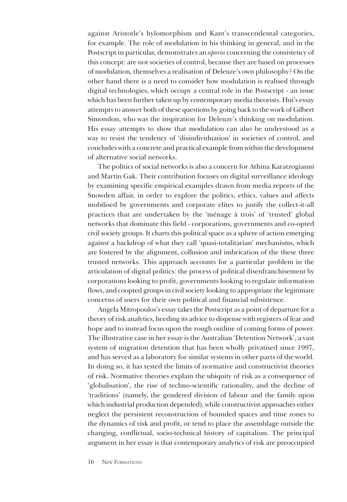against Aristotle's hylomorphism and Kant's transcendental categories, for example. The role of modulation in his thinking in general, and in the Postscript in particular, demonstrates an *aporia* concerning the consistency of this concept: are not societies of control, because they are based on processes of modulation, themselves a realisation of Deleuze's own philosophy? On the other hand there is a need to consider how modulation is realised through digital technologies, which occupy a central role in the Postscript - an issue which has been further taken up by contemporary media theorists. Hui's essay attempts to answer both of these questions by going back to the work of Gilbert Simondon, who was the inspiration for Deleuze's thinking on modulation. His essay attempts to show that modulation can also be understood as a way to resist the tendency of 'disindividuation' in societies of control, and concludes with a concrete and practical example from within the development of alternative social networks.

The politics of social networks is also a concern for Athina Karatzogianni and Martin Gak. Their contribution focuses on digital surveillance ideology by examining specific empirical examples drawn from media reports of the Snowden affair, in order to explore the politics, ethics, values and affects mobilised by governments and corporate elites to justify the collect-it-all practices that are undertaken by the 'ménage à trois' of 'trusted' global networks that dominate this field - corporations, governments and co-opted civil society groups. It charts this political space as a sphere of action emerging against a backdrop of what they call 'quasi-totalitarian' mechanisms, which are fostered by the alignment, collusion and imbrication of the these three trusted networks. This approach accounts for a particular problem in the articulation of digital politics: the process of political disenfranchisement by corporations looking to profit, governments looking to regulate information flows, and coopted groups in civil society looking to appropriate the legitimate concerns of users for their own political and financial subsistence.

Angela Mitropoulos's essay takes the Postscript as a point of departure for a theory of risk analytics, heeding its advice to dispense with registers of fear and hope and to instead focus upon the rough outline of coming forms of power. The illustrative case in her essay is the Australian 'Detention Network', a vast system of migration detention that has been wholly privatised since 1997, and has served as a laboratory for similar systems in other parts of the world. In doing so, it has tested the limits of normative and constructivist theories of risk. Normative theories explain the ubiquity of risk as a consequence of 'globalisation', the rise of techno-scientific rationality, and the decline of 'traditions' (namely, the gendered division of labour and the family upon which industrial production depended); while constructivist approaches either neglect the persistent reconstruction of bounded spaces and time zones to the dynamics of risk and profit, or tend to place the assemblage outside the changing, conflictual, socio-technical history of capitalism. The principal argument in her essay is that contemporary analytics of risk are preoccupied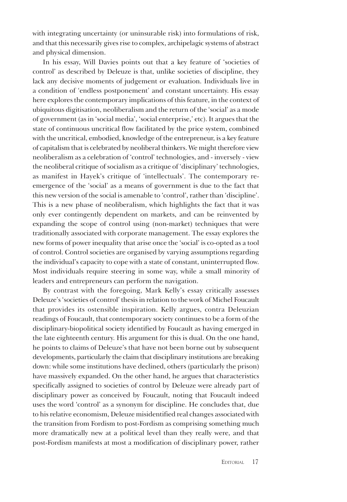with integrating uncertainty (or uninsurable risk) into formulations of risk, and that this necessarily gives rise to complex, archipelagic systems of abstract and physical dimension.

In his essay, Will Davies points out that a key feature of 'societies of control' as described by Deleuze is that, unlike societies of discipline, they lack any decisive moments of judgement or evaluation. Individuals live in a condition of 'endless postponement' and constant uncertainty. His essay here explores the contemporary implications of this feature, in the context of ubiquitous digitisation, neoliberalism and the return of the 'social' as a mode of government (as in 'social media', 'social enterprise,' etc). It argues that the state of continuous uncritical flow facilitated by the price system, combined with the uncritical, embodied, knowledge of the entrepreneur, is a key feature of capitalism that is celebrated by neoliberal thinkers. We might therefore view neoliberalism as a celebration of 'control' technologies, and - inversely - view the neoliberal critique of socialism as a critique of 'disciplinary' technologies, as manifest in Hayek's critique of 'intellectuals'. The contemporary reemergence of the 'social' as a means of government is due to the fact that this new version of the social is amenable to 'control', rather than 'discipline'. This is a new phase of neoliberalism, which highlights the fact that it was only ever contingently dependent on markets, and can be reinvented by expanding the scope of control using (non-market) techniques that were traditionally associated with corporate management. The essay explores the new forms of power inequality that arise once the 'social' is co-opted as a tool of control. Control societies are organised by varying assumptions regarding the individual's capacity to cope with a state of constant, uninterrupted flow. Most individuals require steering in some way, while a small minority of leaders and entrepreneurs can perform the navigation.

By contrast with the foregoing, Mark Kelly's essay critically assesses Deleuze's 'societies of control' thesis in relation to the work of Michel Foucault that provides its ostensible inspiration. Kelly argues, contra Deleuzian readings of Foucault, that contemporary society continues to be a form of the disciplinary-biopolitical society identified by Foucault as having emerged in the late eighteenth century. His argument for this is dual. On the one hand, he points to claims of Deleuze's that have not been borne out by subsequent developments, particularly the claim that disciplinary institutions are breaking down: while some institutions have declined, others (particularly the prison) have massively expanded. On the other hand, he argues that characteristics specifically assigned to societies of control by Deleuze were already part of disciplinary power as conceived by Foucault, noting that Foucault indeed uses the word 'control' as a synonym for discipline. He concludes that, due to his relative economism, Deleuze misidentified real changes associated with the transition from Fordism to post-Fordism as comprising something much more dramatically new at a political level than they really were, and that post-Fordism manifests at most a modification of disciplinary power, rather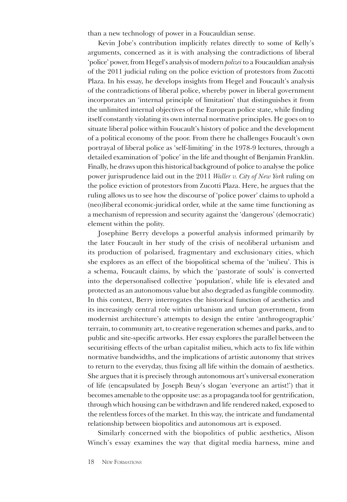than a new technology of power in a Foucauldian sense.

Kevin Jobe's contribution implicitly relates directly to some of Kelly's arguments, concerned as it is with analysing the contradictions of liberal 'police' power, from Hegel's analysis of modern *polizei* to a Foucauldian analysis of the 2011 judicial ruling on the police eviction of protestors from Zucotti Plaza. In his essay, he develops insights from Hegel and Foucault's analysis of the contradictions of liberal police, whereby power in liberal government incorporates an 'internal principle of limitation' that distinguishes it from the unlimited internal objectives of the European police state, while finding itself constantly violating its own internal normative principles. He goes on to situate liberal police within Foucault's history of police and the development of a political economy of the poor. From there he challenges Foucault's own portrayal of liberal police as 'self-limiting' in the 1978-9 lectures, through a detailed examination of 'police' in the life and thought of Benjamin Franklin. Finally, he draws upon this historical background of police to analyse the police power jurisprudence laid out in the 2011 *Waller v. City of New York* ruling on the police eviction of protestors from Zucotti Plaza. Here, he argues that the ruling allows us to see how the discourse of 'police power' claims to uphold a (neo)liberal economic-juridical order, while at the same time functioning as a mechanism of repression and security against the 'dangerous' (democratic) element within the polity.

Josephine Berry develops a powerful analysis informed primarily by the later Foucault in her study of the crisis of neoliberal urbanism and its production of polarised, fragmentary and exclusionary cities, which she explores as an effect of the biopolitical schema of the 'milieu'. This is a schema, Foucault claims, by which the 'pastorate of souls' is converted into the depersonalised collective 'population', while life is elevated and protected as an autonomous value but also degraded as fungible commodity. In this context, Berry interrogates the historical function of aesthetics and its increasingly central role within urbanism and urban government, from modernist architecture's attempts to design the entire 'anthrogeographic' terrain, to community art, to creative regeneration schemes and parks, and to public and site-specific artworks. Her essay explores the parallel between the securitising effects of the urban capitalist milieu, which acts to fix life within normative bandwidths, and the implications of artistic autonomy that strives to return to the everyday, thus fixing all life within the domain of aesthetics. She argues that it is precisely through autonomous art's universal exoneration of life (encapsulated by Joseph Beuy's slogan 'everyone an artist!') that it becomes amenable to the opposite use: as a propaganda tool for gentrification, through which housing can be withdrawn and life rendered naked, exposed to the relentless forces of the market. In this way, the intricate and fundamental relationship between biopolitics and autonomous art is exposed.

Similarly concerned with the biopolitics of public aesthetics, Alison Winch's essay examines the way that digital media harness, mine and